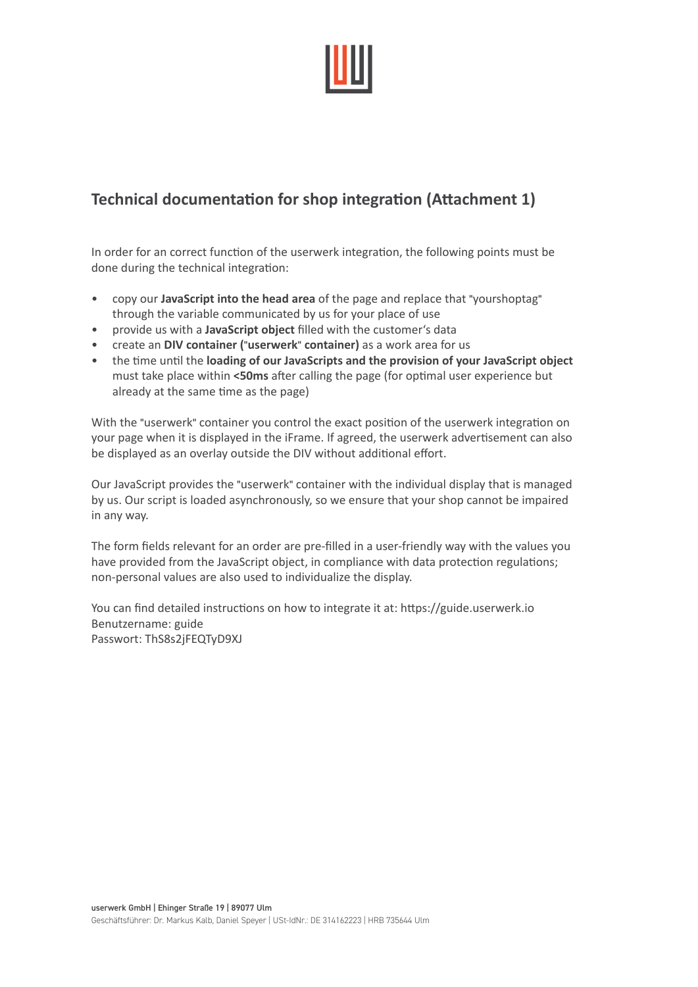

# **Technical documentation for shop integration (Attachment 1)**

In order for an correct function of the userwerk integration, the following points must be done during the technical integration:

- copy our **JavaScript into the head area** of the page and replace that "yourshoptag" through the variable communicated by us for your place of use
- provide us with a **JavaScript object** filled with the customer's data
- create an **DIV container (**"**userwerk**" **container)** as a work area for us
- the time until the **loading of our JavaScripts and the provision of your JavaScript object** must take place within **<50ms** after calling the page (for optimal user experience but already at the same time as the page)

With the "userwerk" container you control the exact position of the userwerk integration on your page when it is displayed in the iFrame. If agreed, the userwerk advertisement can also be displayed as an overlay outside the DIV without additional effort.

Our JavaScript provides the "userwerk" container with the individual display that is managed by us. Our script is loaded asynchronously, so we ensure that your shop cannot be impaired in any way.

The form fields relevant for an order are pre-filled in a user-friendly way with the values you have provided from the JavaScript object, in compliance with data protection regulations; non-personal values are also used to individualize the display.

You can find detailed instructions on how to integrate it at: https://guide.userwerk.io Benutzername: guide Passwort: ThS8s2jFEQTyD9XJ